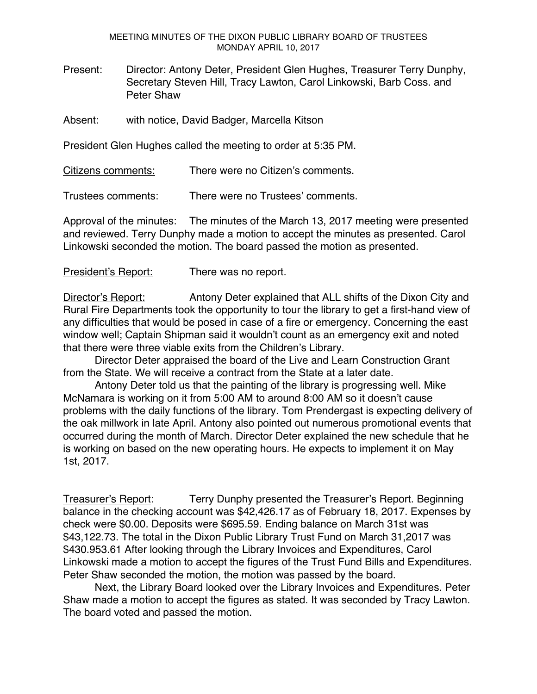MEETING MINUTES OF THE DIXON PUBLIC LIBRARY BOARD OF TRUSTEES MONDAY APRIL 10, 2017

Present: Director: Antony Deter, President Glen Hughes, Treasurer Terry Dunphy, Secretary Steven Hill, Tracy Lawton, Carol Linkowski, Barb Coss. and Peter Shaw

Absent: with notice, David Badger, Marcella Kitson

President Glen Hughes called the meeting to order at 5:35 PM.

Citizens comments: There were no Citizen's comments.

Trustees comments: There were no Trustees' comments.

Approval of the minutes: The minutes of the March 13, 2017 meeting were presented and reviewed. Terry Dunphy made a motion to accept the minutes as presented. Carol Linkowski seconded the motion. The board passed the motion as presented.

President's Report: There was no report.

Director's Report: Antony Deter explained that ALL shifts of the Dixon City and Rural Fire Departments took the opportunity to tour the library to get a first-hand view of any difficulties that would be posed in case of a fire or emergency. Concerning the east window well; Captain Shipman said it wouldn't count as an emergency exit and noted that there were three viable exits from the Children's Library.

Director Deter appraised the board of the Live and Learn Construction Grant from the State. We will receive a contract from the State at a later date.

Antony Deter told us that the painting of the library is progressing well. Mike McNamara is working on it from 5:00 AM to around 8:00 AM so it doesn't cause problems with the daily functions of the library. Tom Prendergast is expecting delivery of the oak millwork in late April. Antony also pointed out numerous promotional events that occurred during the month of March. Director Deter explained the new schedule that he is working on based on the new operating hours. He expects to implement it on May 1st, 2017.

Treasurer's Report: Terry Dunphy presented the Treasurer's Report. Beginning balance in the checking account was \$42,426.17 as of February 18, 2017. Expenses by check were \$0.00. Deposits were \$695.59. Ending balance on March 31st was \$43,122.73. The total in the Dixon Public Library Trust Fund on March 31,2017 was \$430.953.61 After looking through the Library Invoices and Expenditures, Carol Linkowski made a motion to accept the figures of the Trust Fund Bills and Expenditures. Peter Shaw seconded the motion, the motion was passed by the board.

Next, the Library Board looked over the Library Invoices and Expenditures. Peter Shaw made a motion to accept the figures as stated. It was seconded by Tracy Lawton. The board voted and passed the motion.